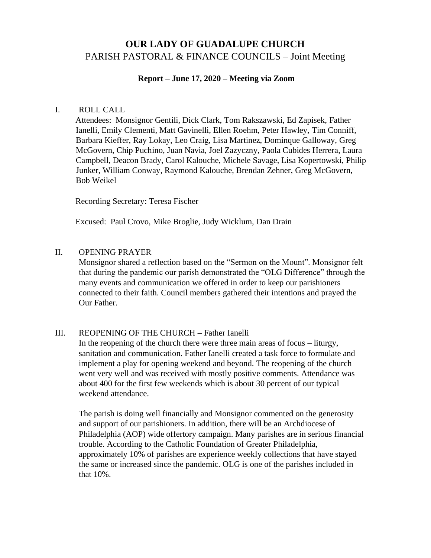# **OUR LADY OF GUADALUPE CHURCH**  PARISH PASTORAL & FINANCE COUNCILS – Joint Meeting

#### **Report – June 17, 2020 – Meeting via Zoom**

#### I. ROLL CALL

Attendees: Monsignor Gentili, Dick Clark, Tom Rakszawski, Ed Zapisek, Father Ianelli, Emily Clementi, Matt Gavinelli, Ellen Roehm, Peter Hawley, Tim Conniff, Barbara Kieffer, Ray Lokay, Leo Craig, Lisa Martinez, Dominque Galloway, Greg McGovern, Chip Puchino, Juan Navia, Joel Zazyczny, Paola Cubides Herrera, Laura Campbell, Deacon Brady, Carol Kalouche, Michele Savage, Lisa Kopertowski, Philip Junker, William Conway, Raymond Kalouche, Brendan Zehner, Greg McGovern, Bob Weikel

Recording Secretary: Teresa Fischer

Excused: Paul Crovo, Mike Broglie, Judy Wicklum, Dan Drain

#### II. OPENING PRAYER

Monsignor shared a reflection based on the "Sermon on the Mount". Monsignor felt that during the pandemic our parish demonstrated the "OLG Difference" through the many events and communication we offered in order to keep our parishioners connected to their faith. Council members gathered their intentions and prayed the Our Father.

## III. REOPENING OF THE CHURCH – Father Ianelli

In the reopening of the church there were three main areas of focus – liturgy, sanitation and communication. Father Ianelli created a task force to formulate and implement a play for opening weekend and beyond. The reopening of the church went very well and was received with mostly positive comments. Attendance was about 400 for the first few weekends which is about 30 percent of our typical weekend attendance.

The parish is doing well financially and Monsignor commented on the generosity and support of our parishioners. In addition, there will be an Archdiocese of Philadelphia (AOP) wide offertory campaign. Many parishes are in serious financial trouble. According to the Catholic Foundation of Greater Philadelphia, approximately 10% of parishes are experience weekly collections that have stayed the same or increased since the pandemic. OLG is one of the parishes included in that 10%.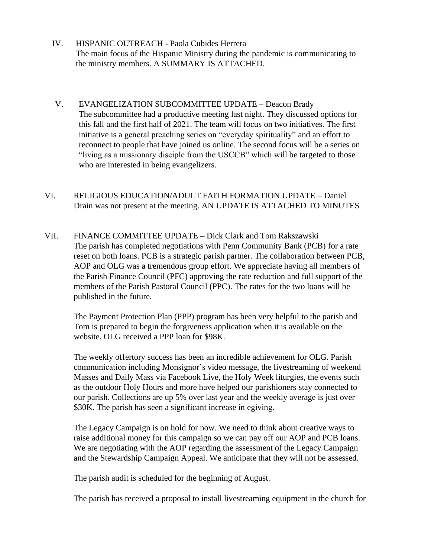- IV. HISPANIC OUTREACH Paola Cubides Herrera The main focus of the Hispanic Ministry during the pandemic is communicating to the ministry members. A SUMMARY IS ATTACHED.
- V. EVANGELIZATION SUBCOMMITTEE UPDATE Deacon Brady The subcommittee had a productive meeting last night. They discussed options for this fall and the first half of 2021. The team will focus on two initiatives. The first initiative is a general preaching series on "everyday spirituality" and an effort to reconnect to people that have joined us online. The second focus will be a series on "living as a missionary disciple from the USCCB" which will be targeted to those who are interested in being evangelizers.
- VI. RELIGIOUS EDUCATION/ADULT FAITH FORMATION UPDATE Daniel Drain was not present at the meeting. AN UPDATE IS ATTACHED TO MINUTES
- VII. FINANCE COMMITTEE UPDATE Dick Clark and Tom Rakszawski The parish has completed negotiations with Penn Community Bank (PCB) for a rate reset on both loans. PCB is a strategic parish partner. The collaboration between PCB, AOP and OLG was a tremendous group effort. We appreciate having all members of the Parish Finance Council (PFC) approving the rate reduction and full support of the members of the Parish Pastoral Council (PPC). The rates for the two loans will be published in the future.

The Payment Protection Plan (PPP) program has been very helpful to the parish and Tom is prepared to begin the forgiveness application when it is available on the website. OLG received a PPP loan for \$98K.

The weekly offertory success has been an incredible achievement for OLG. Parish communication including Monsignor's video message, the livestreaming of weekend Masses and Daily Mass via Facebook Live, the Holy Week liturgies, the events such as the outdoor Holy Hours and more have helped our parishioners stay connected to our parish. Collections are up 5% over last year and the weekly average is just over \$30K. The parish has seen a significant increase in egiving.

The Legacy Campaign is on hold for now. We need to think about creative ways to raise additional money for this campaign so we can pay off our AOP and PCB loans. We are negotiating with the AOP regarding the assessment of the Legacy Campaign and the Stewardship Campaign Appeal. We anticipate that they will not be assessed.

The parish audit is scheduled for the beginning of August.

The parish has received a proposal to install livestreaming equipment in the church for